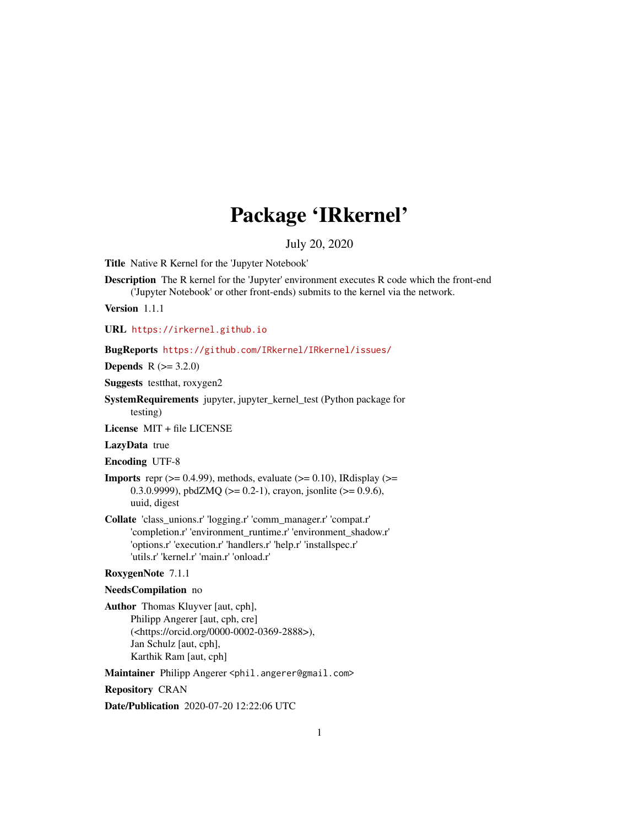# Package 'IRkernel'

#### July 20, 2020

Title Native R Kernel for the 'Jupyter Notebook'

Description The R kernel for the 'Jupyter' environment executes R code which the front-end ('Jupyter Notebook' or other front-ends) submits to the kernel via the network.

Version 1.1.1

URL <https://irkernel.github.io>

BugReports <https://github.com/IRkernel/IRkernel/issues/>

**Depends** R  $(>= 3.2.0)$ 

Suggests testthat, roxygen2

SystemRequirements jupyter, jupyter\_kernel\_test (Python package for testing)

License MIT + file LICENSE

LazyData true

Encoding UTF-8

- **Imports** repr  $(>= 0.4.99)$ , methods, evaluate  $(>= 0.10)$ , IRdisplay  $(>= 0.10)$ 0.3.0.9999), pbdZMQ (>= 0.2-1), crayon, jsonlite (>= 0.9.6), uuid, digest
- Collate 'class\_unions.r' 'logging.r' 'comm\_manager.r' 'compat.r' 'completion.r' 'environment\_runtime.r' 'environment\_shadow.r' 'options.r' 'execution.r' 'handlers.r' 'help.r' 'installspec.r' 'utils.r' 'kernel.r' 'main.r' 'onload.r'

#### RoxygenNote 7.1.1

#### NeedsCompilation no

Author Thomas Kluyver [aut, cph], Philipp Angerer [aut, cph, cre] (<https://orcid.org/0000-0002-0369-2888>), Jan Schulz [aut, cph], Karthik Ram [aut, cph]

Maintainer Philipp Angerer <phil.angerer@gmail.com>

Repository CRAN

Date/Publication 2020-07-20 12:22:06 UTC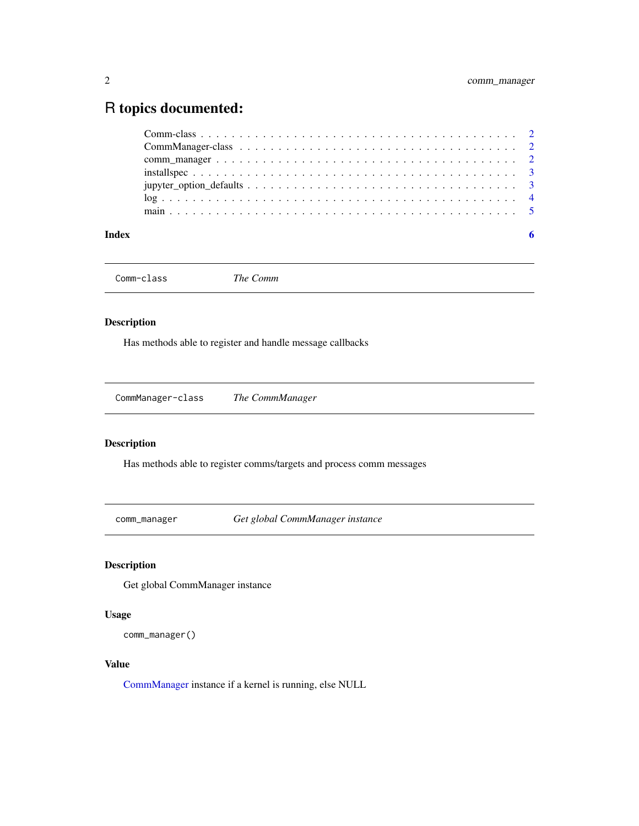## <span id="page-1-0"></span>R topics documented:

| Index |  |
|-------|--|
|       |  |
|       |  |
|       |  |
|       |  |
|       |  |
|       |  |
|       |  |

Comm-class *The Comm*

#### Description

Has methods able to register and handle message callbacks

CommManager-class *The CommManager*

#### <span id="page-1-1"></span>Description

Has methods able to register comms/targets and process comm messages

comm\_manager *Get global CommManager instance*

#### Description

Get global CommManager instance

#### Usage

comm\_manager()

#### Value

[CommManager](#page-1-1) instance if a kernel is running, else NULL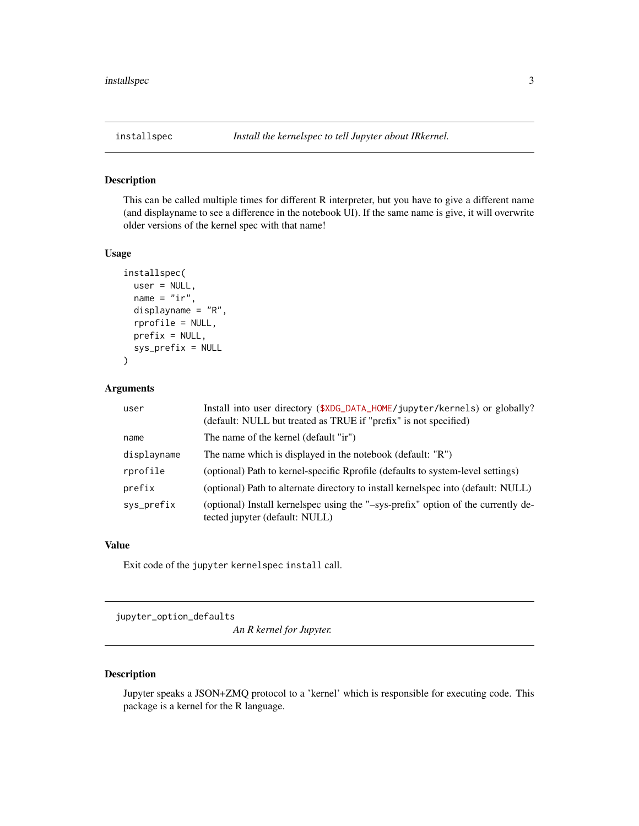<span id="page-2-1"></span><span id="page-2-0"></span>

#### Description

This can be called multiple times for different R interpreter, but you have to give a different name (and displayname to see a difference in the notebook UI). If the same name is give, it will overwrite older versions of the kernel spec with that name!

#### Usage

```
installspec(
 user = NULL,
 name = "ir",displayname = "R",
  rprofile = NULL,
 prefix = NULL,
  sys_prefix = NULL
)
```
#### Arguments

| user        | Install into user directory (\$XDG_DATA_HOME/jupyter/kernels) or globally?<br>(default: NULL but treated as TRUE if "prefix" is not specified) |
|-------------|------------------------------------------------------------------------------------------------------------------------------------------------|
| name        | The name of the kernel (default "ir")                                                                                                          |
| displayname | The name which is displayed in the notebook (default: "R")                                                                                     |
| rprofile    | (optional) Path to kernel-specific Rprofile (defaults to system-level settings)                                                                |
| prefix      | (optional) Path to alternate directory to install kernelspec into (default: NULL)                                                              |
| sys_prefix  | (optional) Install kernelspec using the "-sys-prefix" option of the currently de-<br>tected jupyter (default: NULL)                            |

#### Value

Exit code of the jupyter kernelspec install call.

jupyter\_option\_defaults

*An R kernel for Jupyter.*

#### Description

Jupyter speaks a JSON+ZMQ protocol to a 'kernel' which is responsible for executing code. This package is a kernel for the R language.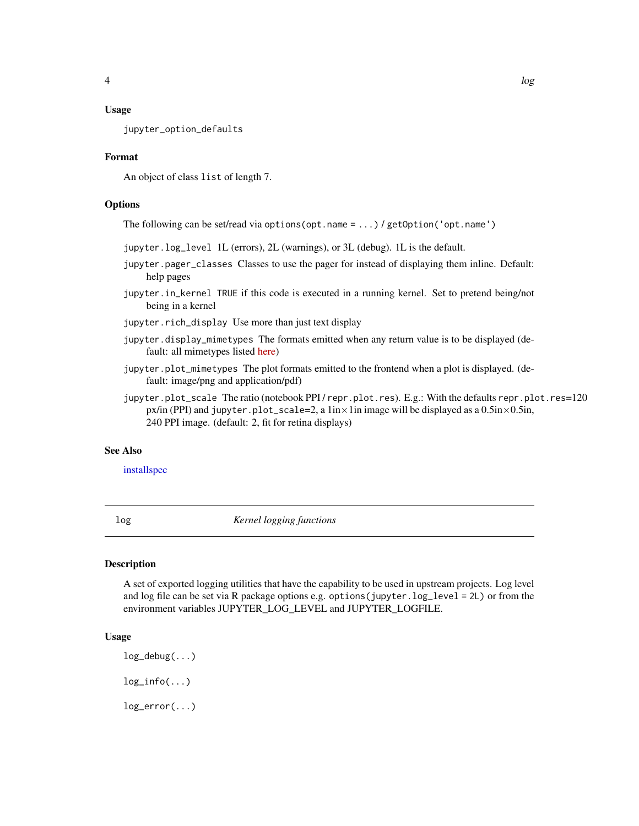#### <span id="page-3-0"></span>Usage

jupyter\_option\_defaults

#### Format

An object of class list of length 7.

#### **Options**

The following can be set/read via options(opt.name = ...) / getOption('opt.name')

- jupyter.log\_level 1L (errors), 2L (warnings), or 3L (debug). 1L is the default.
- jupyter.pager\_classes Classes to use the pager for instead of displaying them inline. Default: help pages
- jupyter.in\_kernel TRUE if this code is executed in a running kernel. Set to pretend being/not being in a kernel

jupyter.rich\_display Use more than just text display

- jupyter.display\_mimetypes The formats emitted when any return value is to be displayed (default: all mimetypes listed [here\)](http://ipython.org/ipython-doc/stable/api/generated/IPython.core.formatters.html#IPython.core.formatters.format_display_data)
- jupyter.plot\_mimetypes The plot formats emitted to the frontend when a plot is displayed. (default: image/png and application/pdf)
- jupyter.plot\_scale The ratio (notebook PPI/repr.plot.res). E.g.: With the defaults repr.plot.res=120 px/in (PPI) and jupyter.plot\_scale=2, a  $1in \times 1in$  image will be displayed as a 0.5in $\times$ 0.5in, 240 PPI image. (default: 2, fit for retina displays)

#### See Also

#### [installspec](#page-2-1)

log *Kernel logging functions*

#### Description

A set of exported logging utilities that have the capability to be used in upstream projects. Log level and log file can be set via R package options e.g. options(jupyter.log\_level = 2L) or from the environment variables JUPYTER\_LOG\_LEVEL and JUPYTER\_LOGFILE.

#### Usage

```
log_debug(...)
log\_info(...)log_error(...)
```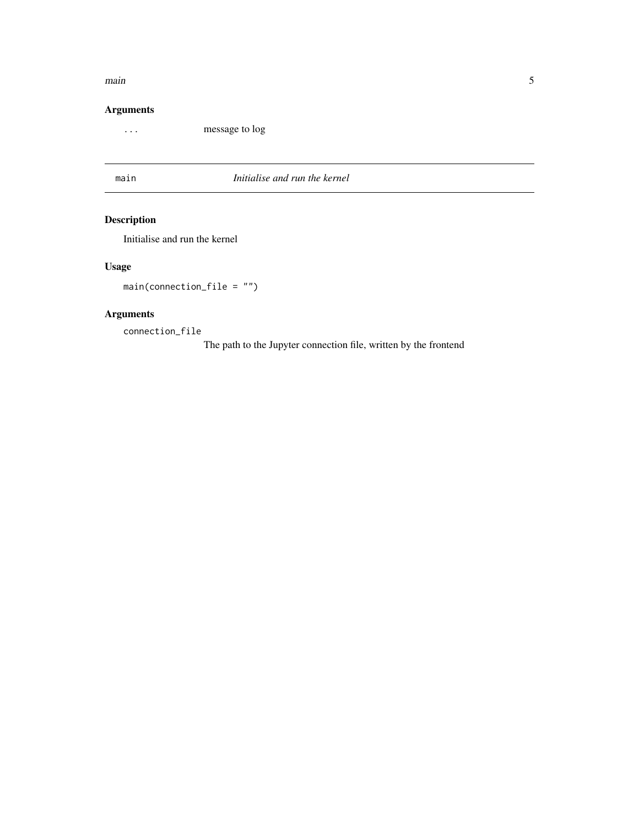#### <span id="page-4-0"></span> $\frac{1}{5}$  main  $\frac{1}{5}$

#### Arguments

... message to log

main *Initialise and run the kernel*

### Description

Initialise and run the kernel

### Usage

main(connection\_file = "")

#### Arguments

connection\_file

The path to the Jupyter connection file, written by the frontend